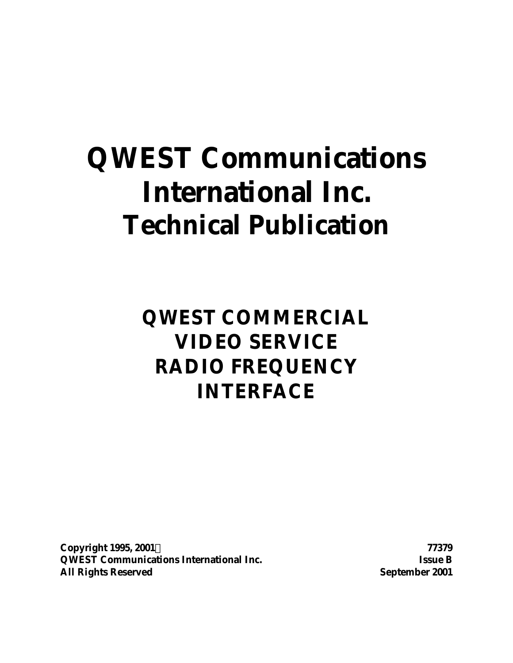# **QWEST Communications International Inc. Technical Publication**

**QWEST COMMERCIAL VIDEO SERVICE RADIO FREQUENCY INTERFACE**

**Copyright 1995, 2001Ó 77379 QWEST Communications International Inc. Issue B All Rights Reserved September 2001**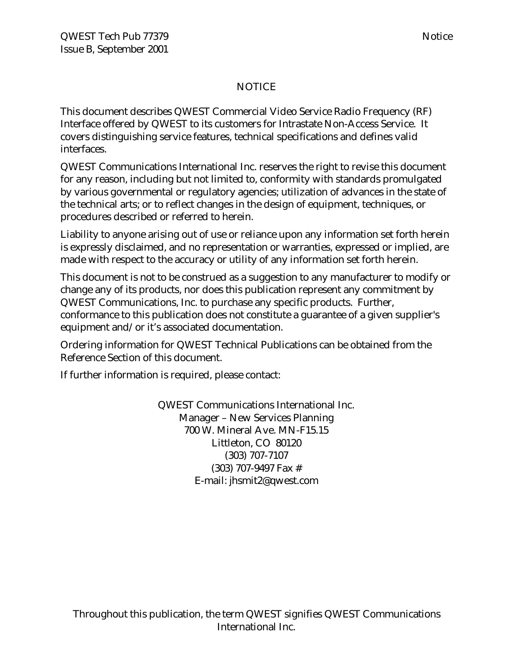### NOTICE

This document describes QWEST Commercial Video Service Radio Frequency (RF) Interface offered by QWEST to its customers for Intrastate Non-Access Service. It covers distinguishing service features, technical specifications and defines valid interfaces.

QWEST Communications International Inc. reserves the right to revise this document for any reason, including but not limited to, conformity with standards promulgated by various governmental or regulatory agencies; utilization of advances in the state of the technical arts; or to reflect changes in the design of equipment, techniques, or procedures described or referred to herein.

Liability to anyone arising out of use or reliance upon any information set forth herein is expressly disclaimed, and no representation or warranties, expressed or implied, are made with respect to the accuracy or utility of any information set forth herein.

This document is not to be construed as a suggestion to any manufacturer to modify or change any of its products, nor does this publication represent any commitment by QWEST Communications, Inc. to purchase any specific products. Further, conformance to this publication does not constitute a guarantee of a given supplier's equipment and/or it's associated documentation.

Ordering information for QWEST Technical Publications can be obtained from the Reference Section of this document.

If further information is required, please contact:

QWEST Communications International Inc. Manager – New Services Planning 700 W. Mineral Ave. MN-F15.15 Littleton, CO 80120 (303) 707-7107 (303) 707-9497 Fax # E-mail: jhsmit2@qwest.com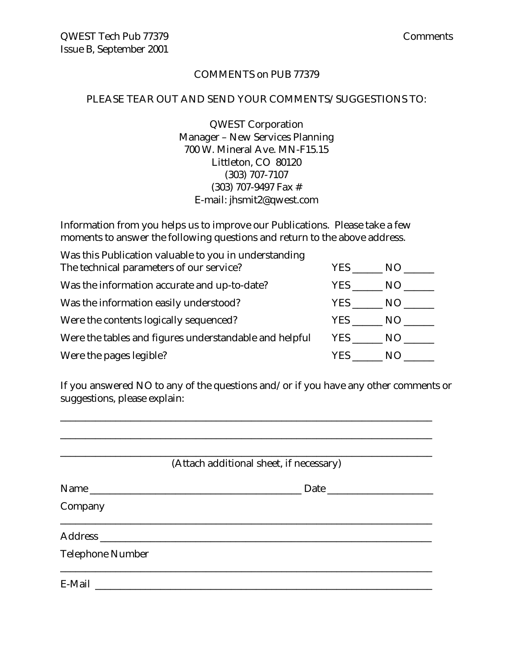### COMMENTS on PUB 77379

### PLEASE TEAR OUT AND SEND YOUR COMMENTS/SUGGESTIONS TO:

QWEST Corporation Manager – New Services Planning 700 W. Mineral Ave. MN-F15.15 Littleton, CO 80120 (303) 707-7107 (303) 707-9497 Fax # E-mail: jhsmit2@qwest.com

Information from you helps us to improve our Publications. Please take a few moments to answer the following questions and return to the above address.

| Was this Publication valuable to you in understanding  |        |           |
|--------------------------------------------------------|--------|-----------|
| The technical parameters of our service?               | YES    | NO –      |
| Was the information accurate and up-to-date?           | YES    | $NO_{--}$ |
| Was the information easily understood?                 | YES    | NO.       |
| Were the contents logically sequenced?                 | YES NO |           |
| Were the tables and figures understandable and helpful | YES NO |           |
| Were the pages legible?                                | YES.   | NO.       |

If you answered NO to any of the questions and/or if you have any other comments or suggestions, please explain:

\_\_\_\_\_\_\_\_\_\_\_\_\_\_\_\_\_\_\_\_\_\_\_\_\_\_\_\_\_\_\_\_\_\_\_\_\_\_\_\_\_\_\_\_\_\_\_\_\_\_\_\_\_\_\_\_\_\_\_\_\_\_\_\_\_\_\_\_\_\_\_\_\_\_

|                         | (Attach additional sheet, if necessary) |
|-------------------------|-----------------------------------------|
| Name                    |                                         |
| Company                 |                                         |
|                         |                                         |
| <b>Telephone Number</b> |                                         |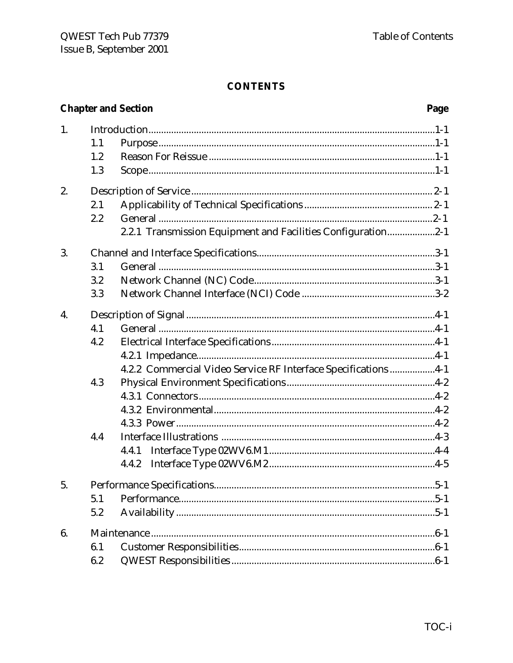|    |     | <b>Chapter and Section</b>                                     | Page |
|----|-----|----------------------------------------------------------------|------|
| 1. |     |                                                                |      |
|    | 1.1 |                                                                |      |
|    | 1.2 |                                                                |      |
|    | 1.3 |                                                                |      |
| 2. |     |                                                                |      |
|    | 2.1 |                                                                |      |
|    | 2.2 |                                                                |      |
|    |     | 2.2.1 Transmission Equipment and Facilities Configuration2-1   |      |
| 3. |     |                                                                |      |
|    | 3.1 |                                                                |      |
|    | 3.2 |                                                                |      |
|    | 3.3 |                                                                |      |
| 4. |     |                                                                |      |
|    | 4.1 |                                                                |      |
|    | 4.2 |                                                                |      |
|    |     |                                                                |      |
|    |     | 4.2.2 Commercial Video Service RF Interface Specifications 4-1 |      |
|    | 4.3 |                                                                |      |
|    |     |                                                                |      |
|    |     |                                                                |      |
|    |     |                                                                |      |
|    | 4.4 |                                                                |      |
|    |     |                                                                |      |
|    |     | 4.4.2                                                          |      |
| 5. |     |                                                                |      |
|    | 5.1 |                                                                |      |
|    | 5.2 |                                                                |      |
| 6. |     |                                                                |      |
|    | 6.1 |                                                                |      |
|    | 6.2 |                                                                |      |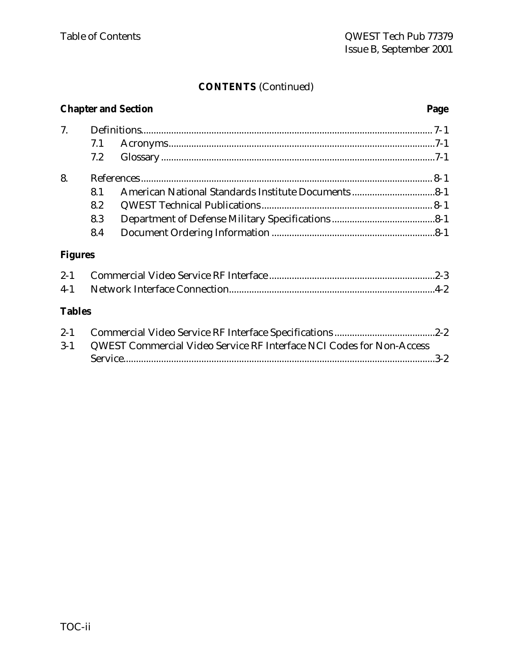### **CONTENTS** (Continued)

# **Chapter and Section Page** 7. Definitions.................................................................................................................... 7-1 7.1 Acronyms..........................................................................................................7-1 7.2 Glossary .............................................................................................................7-1 8. References .................................................................................................................... 8-1 8.1 American National Standards Institute Documents .................................8-1 8.2 QWEST Technical Publications .................................................................... 8-1 8.3 Department of Defense Military Specifications .........................................8-1 8.4 Document Ordering Information .................................................................8-1 **Figures** 2-1 Commercial Video Service RF Interface ..................................................................2-3 4-1 Network Interface Connection..................................................................................4-2 **Tables** 2-1 Commercial Video Service RF Interface Specifications ........................................2-2 3-1 QWEST Commercial Video Service RF Interface NCI Codes for Non-Access Service............................................................................................................................3-2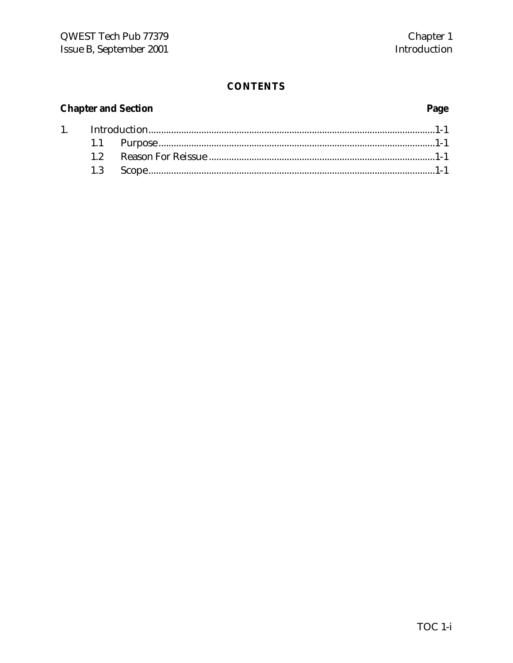### **Chapter and Section**

 $1.$ 

# Page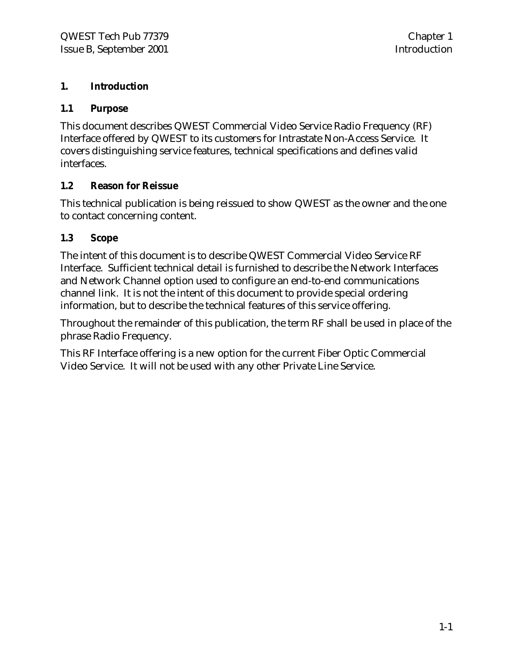### **1. Introduction**

### **1.1 Purpose**

This document describes QWEST Commercial Video Service Radio Frequency (RF) Interface offered by QWEST to its customers for Intrastate Non-Access Service. It covers distinguishing service features, technical specifications and defines valid interfaces.

### **1.2 Reason for Reissue**

This technical publication is being reissued to show QWEST as the owner and the one to contact concerning content.

### **1.3 Scope**

The intent of this document is to describe QWEST Commercial Video Service RF Interface. Sufficient technical detail is furnished to describe the Network Interfaces and Network Channel option used to configure an end-to-end communications channel link. It is not the intent of this document to provide special ordering information, but to describe the technical features of this service offering.

Throughout the remainder of this publication, the term RF shall be used in place of the phrase Radio Frequency.

This RF Interface offering is a new option for the current Fiber Optic Commercial Video Service. It will not be used with any other Private Line Service.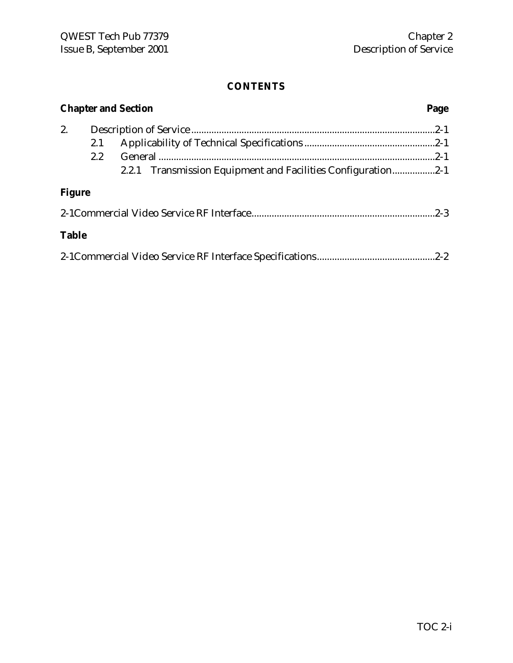|               |         | <b>Chapter and Section</b>                                   | Page |
|---------------|---------|--------------------------------------------------------------|------|
| 2.            |         |                                                              |      |
|               | 2.1     |                                                              |      |
|               | $2.2\,$ |                                                              |      |
|               |         | 2.2.1 Transmission Equipment and Facilities Configuration2-1 |      |
| <b>Figure</b> |         |                                                              |      |
|               |         |                                                              |      |
| <b>Table</b>  |         |                                                              |      |
|               |         |                                                              |      |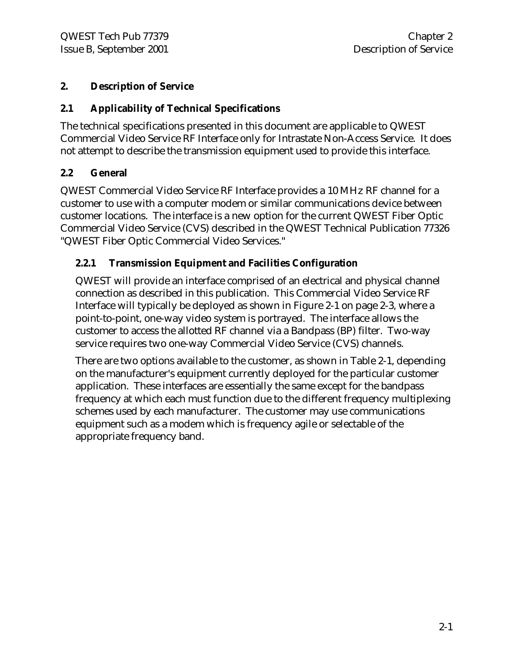### **2. Description of Service**

### **2.1 Applicability of Technical Specifications**

The technical specifications presented in this document are applicable to QWEST Commercial Video Service RF Interface only for Intrastate Non-Access Service. It does not attempt to describe the transmission equipment used to provide this interface.

### **2.2 General**

QWEST Commercial Video Service RF Interface provides a 10 MHz RF channel for a customer to use with a computer modem or similar communications device between customer locations. The interface is a new option for the current QWEST Fiber Optic Commercial Video Service (CVS) described in the QWEST Technical Publication 77326 "QWEST Fiber Optic Commercial Video Services."

### **2.2.1 Transmission Equipment and Facilities Configuration**

QWEST will provide an interface comprised of an electrical and physical channel connection as described in this publication. This Commercial Video Service RF Interface will typically be deployed as shown in Figure 2-1 on page 2-3, where a point-to-point, one-way video system is portrayed. The interface allows the customer to access the allotted RF channel via a Bandpass (BP) filter. Two-way service requires two one-way Commercial Video Service (CVS) channels.

There are two options available to the customer, as shown in Table 2-1, depending on the manufacturer's equipment currently deployed for the particular customer application. These interfaces are essentially the same except for the bandpass frequency at which each must function due to the different frequency multiplexing schemes used by each manufacturer. The customer may use communications equipment such as a modem which is frequency agile or selectable of the appropriate frequency band.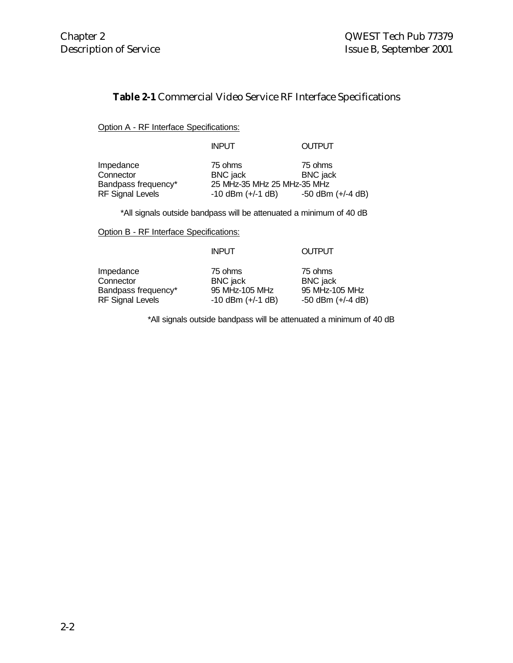### **Table 2-1** Commercial Video Service RF Interface Specifications

Option A - RF Interface Specifications:

### INPUT OUTPUT

| Impedance               | 75 ohms                     | 75 ohms               |
|-------------------------|-----------------------------|-----------------------|
| Connector               | BNC jack                    | <b>BNC</b> jack       |
| Bandpass frequency*     | 25 MHz-35 MHz 25 MHz-35 MHz |                       |
| <b>RF Signal Levels</b> | $-10$ dBm $(+/-1$ dB)       | $-50$ dBm $(+/-4$ dB) |

\*All signals outside bandpass will be attenuated a minimum of 40 dB

Option B - RF Interface Specifications:

|                         | <b>INPUT</b>          | <b>OUTPUT</b>         |
|-------------------------|-----------------------|-----------------------|
| Impedance               | 75 ohms               | 75 ohms               |
| Connector               | <b>BNC</b> jack       | <b>BNC</b> jack       |
| Bandpass frequency*     | 95 MHz-105 MHz        | 95 MHz-105 MHz        |
| <b>RF Signal Levels</b> | $-10$ dBm $(+/-1$ dB) | $-50$ dBm $(+/-4$ dB) |

\*All signals outside bandpass will be attenuated a minimum of 40 dB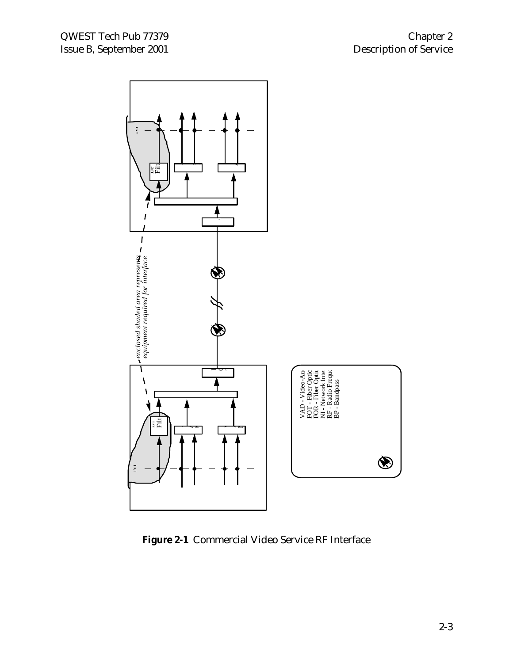

**Figure 2-1** Commercial Video Service RF Interface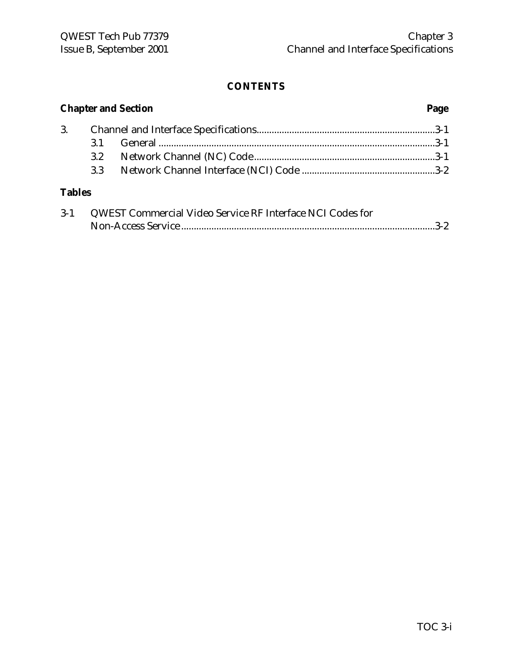| <b>Chapter and Section</b> |                  |                                                                | Page |  |
|----------------------------|------------------|----------------------------------------------------------------|------|--|
| 3.                         |                  |                                                                |      |  |
|                            | 3.1              |                                                                |      |  |
|                            | 3.2              |                                                                |      |  |
|                            | 3.3 <sup>°</sup> |                                                                |      |  |
| <b>Tables</b>              |                  |                                                                |      |  |
|                            |                  | 0.1 OWEST Commencial Violet Courses DE Interface MCI Codes for |      |  |

| $3 - 1$ | QWEST Commercial Video Service RF Interface NCI Codes for |  |
|---------|-----------------------------------------------------------|--|
|         |                                                           |  |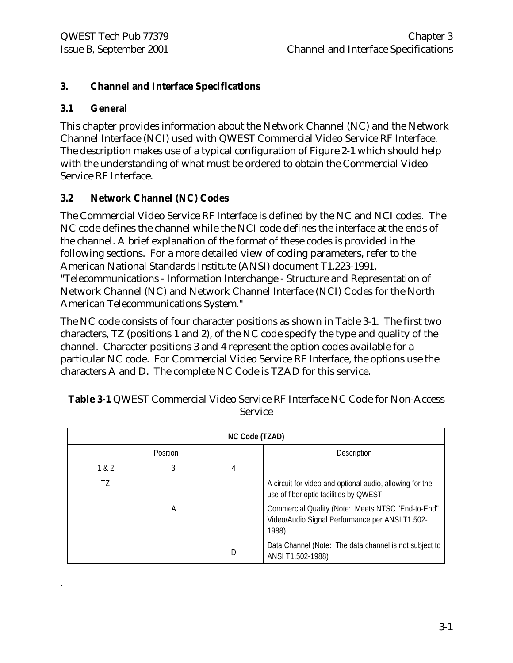### **3. Channel and Interface Specifications**

### **3.1 General**

.

This chapter provides information about the Network Channel (NC) and the Network Channel Interface (NCI) used with QWEST Commercial Video Service RF Interface. The description makes use of a typical configuration of Figure 2-1 which should help with the understanding of what must be ordered to obtain the Commercial Video Service RF Interface.

### **3.2 Network Channel (NC) Codes**

The Commercial Video Service RF Interface is defined by the NC and NCI codes. The NC code defines the channel while the NCI code defines the interface at the ends of the channel. A brief explanation of the format of these codes is provided in the following sections. For a more detailed view of coding parameters, refer to the American National Standards Institute (ANSI) document T1.223-1991, "Telecommunications - Information Interchange - Structure and Representation of Network Channel (NC) and Network Channel Interface (NCI) Codes for the North American Telecommunications System."

The NC code consists of four character positions as shown in Table 3-1. The first two characters, TZ (positions 1 and 2), of the NC code specify the type and quality of the channel. Character positions 3 and 4 represent the option codes available for a particular NC code. For Commercial Video Service RF Interface, the options use the characters A and D. The complete NC Code is TZAD for this service.

| NC Code (TZAD) |          |   |                                                                                                               |
|----------------|----------|---|---------------------------------------------------------------------------------------------------------------|
|                | Position |   | Description                                                                                                   |
| 1 & 2          |          | 4 |                                                                                                               |
| T7             |          |   | A circuit for video and optional audio, allowing for the<br>use of fiber optic facilities by QWEST.           |
|                | Α        |   | Commercial Quality (Note: Meets NTSC "End-to-End"<br>Video/Audio Signal Performance per ANSI T1.502-<br>1988) |
|                |          | D | Data Channel (Note: The data channel is not subject to<br>ANSI T1.502-1988)                                   |

**Table 3-1** QWEST Commercial Video Service RF Interface NC Code for Non-Access Service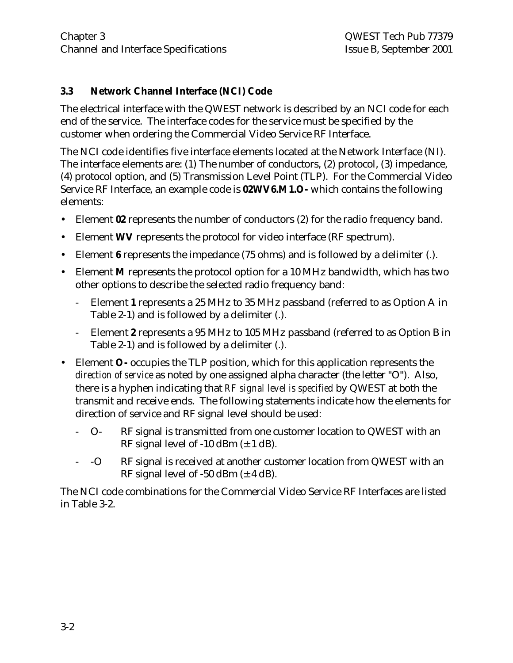### **3.3 Network Channel Interface (NCI) Code**

The electrical interface with the QWEST network is described by an NCI code for each end of the service. The interface codes for the service must be specified by the customer when ordering the Commercial Video Service RF Interface.

The NCI code identifies five interface elements located at the Network Interface (NI). The interface elements are: (1) The number of conductors, (2) protocol, (3) impedance, (4) protocol option, and (5) Transmission Level Point (TLP). For the Commercial Video Service RF Interface, an example code is **02WV6.M1.O-** which contains the following elements:

- Element **02** represents the number of conductors (2) for the radio frequency band.
- Element **WV** represents the protocol for video interface (RF spectrum).
- Element **6** represents the impedance (75 ohms) and is followed by a delimiter (.).
- Element **M** represents the protocol option for a 10 MHz bandwidth, which has two other options to describe the selected radio frequency band:
	- Element **1** represents a 25 MHz to 35 MHz passband (referred to as Option A in Table 2-1) and is followed by a delimiter (.).
	- Element **2** represents a 95 MHz to 105 MHz passband (referred to as Option B in Table 2-1) and is followed by a delimiter (.).
- Element **O-** occupies the TLP position, which for this application represents the *direction of service* as noted by one assigned alpha character (the letter "O"). Also, there is a hyphen indicating that *RF signal level is specified* by QWEST at both the transmit and receive ends. The following statements indicate how the elements for direction of service and RF signal level should be used:
	- O- RF signal is transmitted from one customer location to QWEST with an RF signal level of  $-10$  dBm  $(\pm 1$  dB).
	- -O RF signal is received at another customer location from QWEST with an RF signal level of -50 dBm  $(\pm 4$  dB).

The NCI code combinations for the Commercial Video Service RF Interfaces are listed in Table 3-2.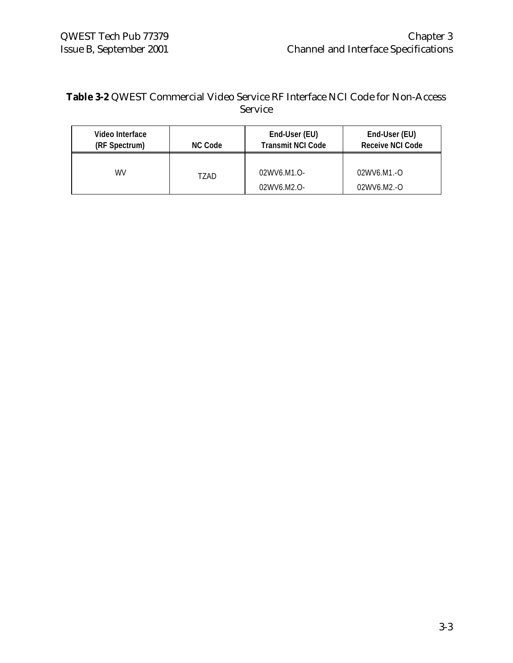### **Table 3-2** QWEST Commercial Video Service RF Interface NCI Code for Non-Access Service

| Video Interface<br>(RF Spectrum) | <b>NC Code</b> | End-User (EU)<br><b>Transmit NCI Code</b> | End-User (EU)<br><b>Receive NCI Code</b> |
|----------------------------------|----------------|-------------------------------------------|------------------------------------------|
| WV                               | TZAD           | 02WV6.M1.O-                               | $02WV6.M1.-O$                            |
|                                  |                | 02WV6.M2.O-                               | $02WW6.M2.-O$                            |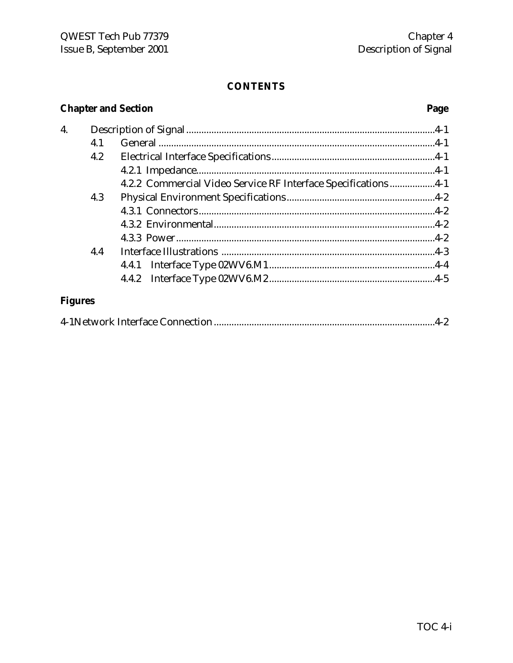### **Chapter and Section**

# Page

| 4. |     |                                                                |  |
|----|-----|----------------------------------------------------------------|--|
|    | 4.1 |                                                                |  |
|    | 4.2 |                                                                |  |
|    |     |                                                                |  |
|    |     | 4.2.2 Commercial Video Service RF Interface Specifications 4-1 |  |
|    | 4.3 |                                                                |  |
|    |     |                                                                |  |
|    |     |                                                                |  |
|    |     |                                                                |  |
|    | 4.4 |                                                                |  |
|    |     |                                                                |  |
|    |     |                                                                |  |
|    |     |                                                                |  |

# **Figures**

|--|--|--|--|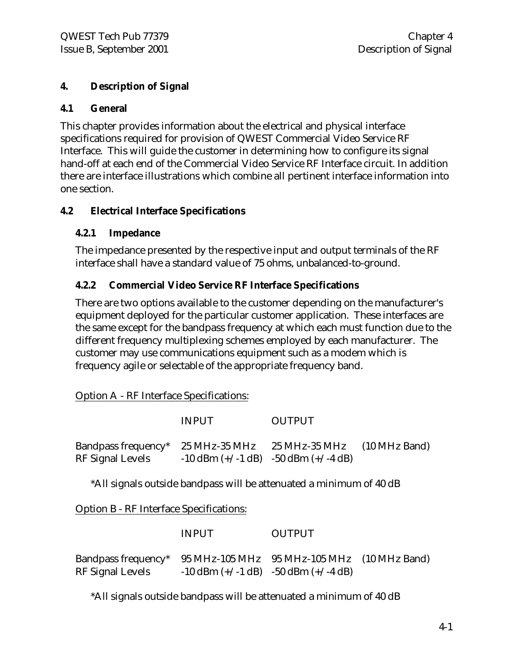### **4. Description of Signal**

### **4.1 General**

This chapter provides information about the electrical and physical interface specifications required for provision of QWEST Commercial Video Service RF Interface. This will guide the customer in determining how to configure its signal hand-off at each end of the Commercial Video Service RF Interface circuit. In addition there are interface illustrations which combine all pertinent interface information into one section.

### **4.2 Electrical Interface Specifications**

### **4.2.1 Impedance**

The impedance presented by the respective input and output terminals of the RF interface shall have a standard value of 75 ohms, unbalanced-to-ground.

### **4.2.2 Commercial Video Service RF Interface Specifications**

There are two options available to the customer depending on the manufacturer's equipment deployed for the particular customer application. These interfaces are the same except for the bandpass frequency at which each must function due to the different frequency multiplexing schemes employed by each manufacturer. The customer may use communications equipment such as a modem which is frequency agile or selectable of the appropriate frequency band.

Option A - RF Interface Specifications:

|                                                                                   | <b>INPUT</b>                                | <b>OUTPUT</b> |  |
|-----------------------------------------------------------------------------------|---------------------------------------------|---------------|--|
| Bandpass frequency* 25 MHz-35 MHz 25 MHz-35 MHz (10 MHz Band)<br>RF Signal Levels | $-10$ dBm $(+/-1$ dB) $-50$ dBm $(+/-4$ dB) |               |  |

\*All signals outside bandpass will be attenuated a minimum of 40 dB

Option B - RF Interface Specifications:

|                                                                                     | <b>INPUT</b> | <b>OUTPUT</b>                               |  |
|-------------------------------------------------------------------------------------|--------------|---------------------------------------------|--|
| Bandpass frequency* 95 MHz-105 MHz 95 MHz-105 MHz (10 MHz Band)<br>RF Signal Levels |              | $-10$ dBm $(+/-1$ dB) $-50$ dBm $(+/-4$ dB) |  |

\*All signals outside bandpass will be attenuated a minimum of 40 dB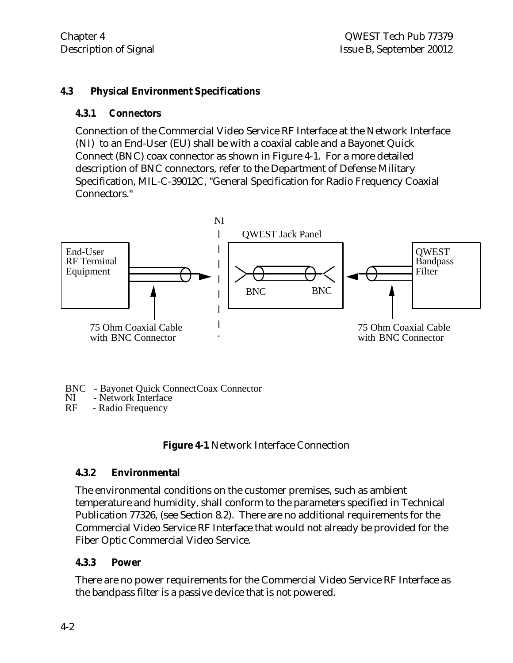### **4.3 Physical Environment Specifications**

### **4.3.1 Connectors**

Connection of the Commercial Video Service RF Interface at the Network Interface (NI) to an End-User (EU) shall be with a coaxial cable and a Bayonet Quick Connect (BNC) coax connector as shown in Figure 4-1. For a more detailed description of BNC connectors, refer to the Department of Defense Military Specification, MIL-C-39012C, "General Specification for Radio Frequency Coaxial Connectors."



BNC - Bayonet Quick Connect Coax Connector<br>NI - Network Interface

NI - Network Interface<br>RF - Radio Frequency

- Radio Frequency

**Figure 4-1** Network Interface Connection

### **4.3.2 Environmental**

The environmental conditions on the customer premises, such as ambient temperature and humidity, shall conform to the parameters specified in Technical Publication 77326, (see Section 8.2). There are no additional requirements for the Commercial Video Service RF Interface that would not already be provided for the Fiber Optic Commercial Video Service.

### **4.3.3 Power**

There are no power requirements for the Commercial Video Service RF Interface as the bandpass filter is a passive device that is not powered.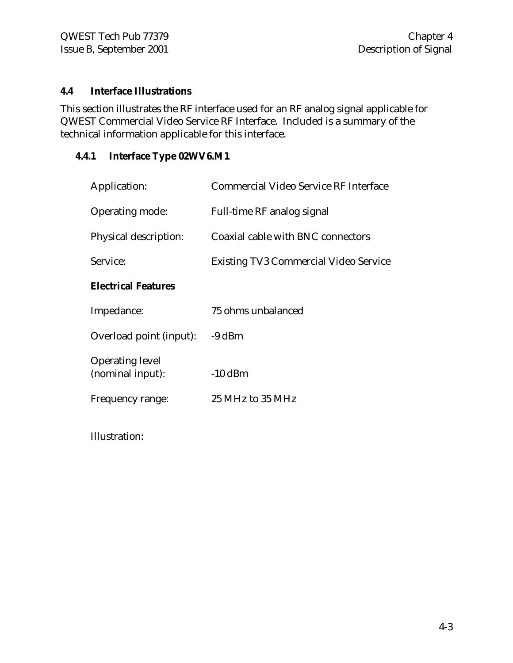### **4.4 Interface Illustrations**

This section illustrates the RF interface used for an RF analog signal applicable for QWEST Commercial Video Service RF Interface. Included is a summary of the technical information applicable for this interface.

### **4.4.1 Interface Type 02WV6.M1**

| Application:                               | Commercial Video Service RF Interface        |
|--------------------------------------------|----------------------------------------------|
| Operating mode:                            | Full-time RF analog signal                   |
| Physical description:                      | Coaxial cable with BNC connectors            |
| Service:                                   | <b>Existing TV3 Commercial Video Service</b> |
| <b>Electrical Features</b>                 |                                              |
| Impedance:                                 | 75 ohms unbalanced                           |
| Overload point (input):                    | $-9$ dBm                                     |
| <b>Operating level</b><br>(nominal input): | $-10$ dBm                                    |
| Frequency range:                           | 25 MHz to 35 MHz                             |
|                                            |                                              |

Illustration: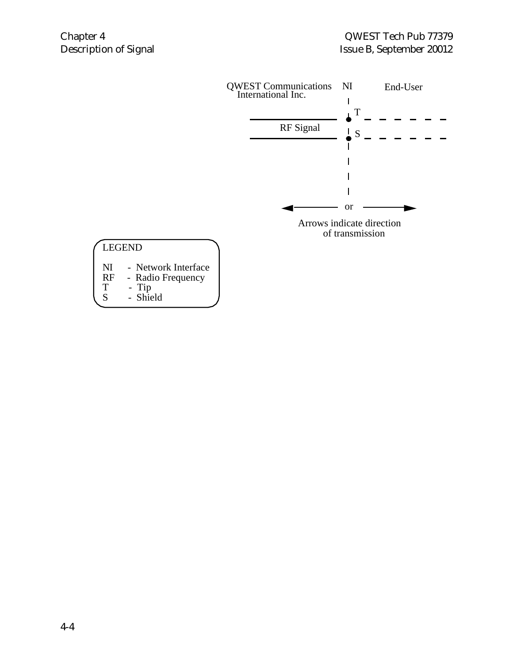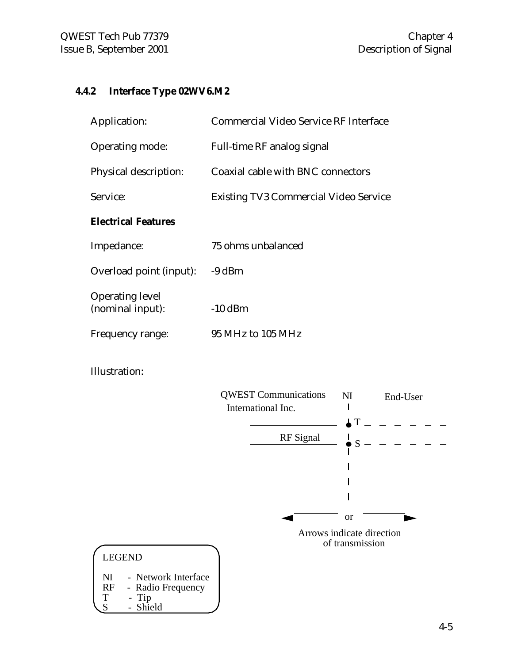### **4.4.2 Interface Type 02WV6.M2**

| Application:                               | Commercial Video Service RF Interface        |
|--------------------------------------------|----------------------------------------------|
| Operating mode:                            | Full-time RF analog signal                   |
| Physical description:                      | Coaxial cable with BNC connectors            |
| Service:                                   | <b>Existing TV3 Commercial Video Service</b> |
| <b>Electrical Features</b>                 |                                              |
| Impedance:                                 | 75 ohms unbalanced                           |
| Overload point (input):                    | $-9$ dBm                                     |
| <b>Operating level</b><br>(nominal input): | $-10$ dBm                                    |
| Frequency range:                           | 95 MHz to 105 MHz                            |
|                                            |                                              |

Illustration:

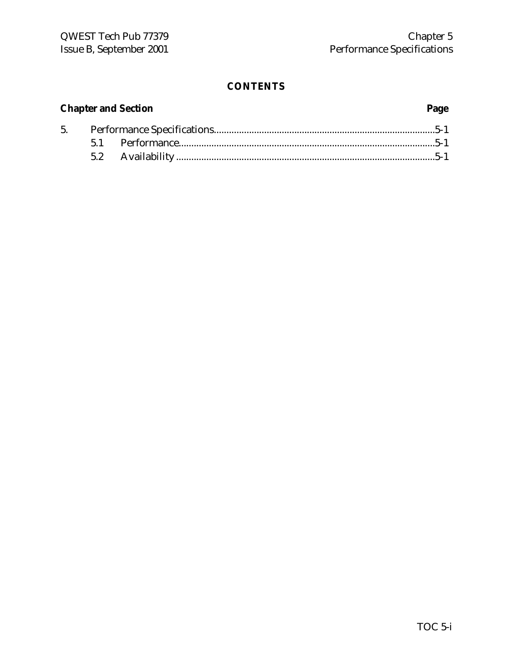# **Chapter and Section Page**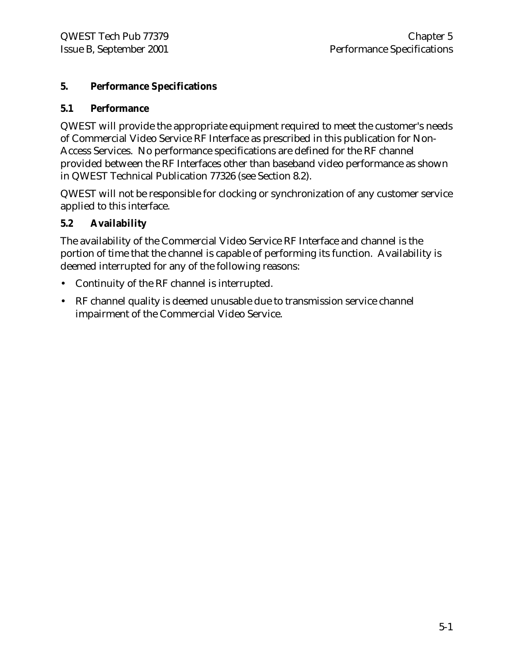### **5. Performance Specifications**

### **5.1 Performance**

QWEST will provide the appropriate equipment required to meet the customer's needs of Commercial Video Service RF Interface as prescribed in this publication for Non-Access Services. No performance specifications are defined for the RF channel provided between the RF Interfaces other than baseband video performance as shown in QWEST Technical Publication 77326 (see Section 8.2).

QWEST will not be responsible for clocking or synchronization of any customer service applied to this interface.

### **5.2 Availability**

The availability of the Commercial Video Service RF Interface and channel is the portion of time that the channel is capable of performing its function. Availability is deemed interrupted for any of the following reasons:

- Continuity of the RF channel is interrupted.
- RF channel quality is deemed unusable due to transmission service channel impairment of the Commercial Video Service.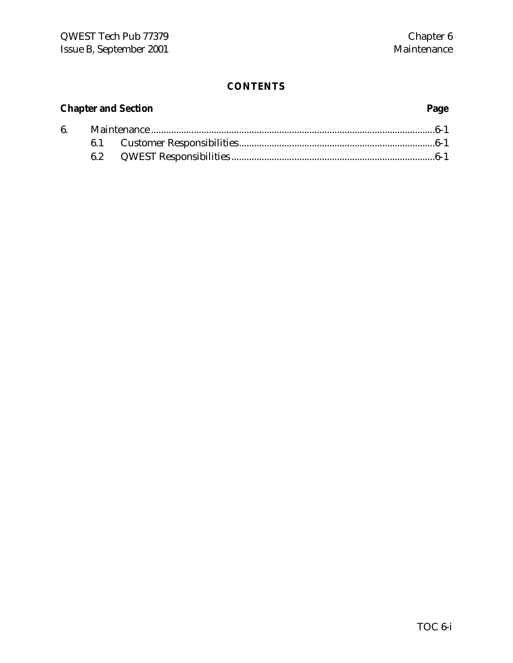# **Chapter and Section Page** 6. Maintenance .................................................................................................................6-1 6.1 Customer Responsibilities..............................................................................6-1 6.2 QWEST Responsibilities .................................................................................6-1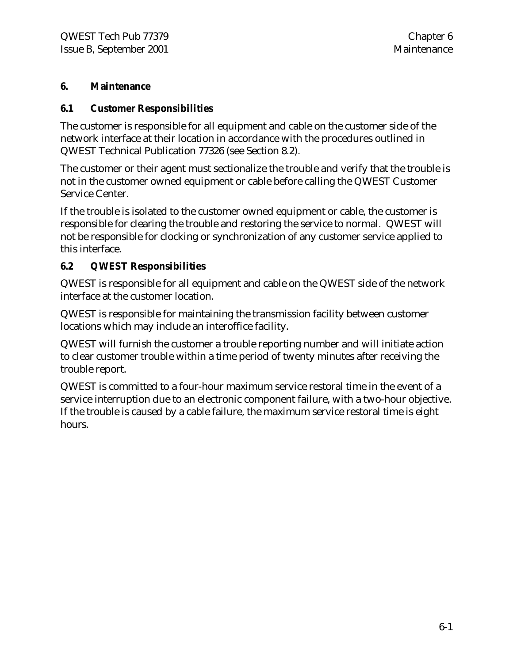### **6. Maintenance**

### **6.1 Customer Responsibilities**

The customer is responsible for all equipment and cable on the customer side of the network interface at their location in accordance with the procedures outlined in QWEST Technical Publication 77326 (see Section 8.2).

The customer or their agent must sectionalize the trouble and verify that the trouble is not in the customer owned equipment or cable before calling the QWEST Customer Service Center.

If the trouble is isolated to the customer owned equipment or cable, the customer is responsible for clearing the trouble and restoring the service to normal. QWEST will not be responsible for clocking or synchronization of any customer service applied to this interface.

### **6.2 QWEST Responsibilities**

QWEST is responsible for all equipment and cable on the QWEST side of the network interface at the customer location.

QWEST is responsible for maintaining the transmission facility between customer locations which may include an interoffice facility.

QWEST will furnish the customer a trouble reporting number and will initiate action to clear customer trouble within a time period of twenty minutes after receiving the trouble report.

QWEST is committed to a four-hour maximum service restoral time in the event of a service interruption due to an electronic component failure, with a two-hour objective. If the trouble is caused by a cable failure, the maximum service restoral time is eight hours.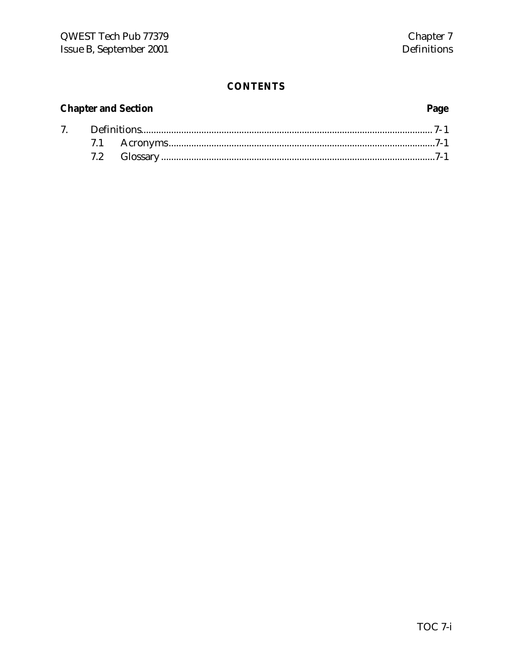# **Chapter and Section**

# Page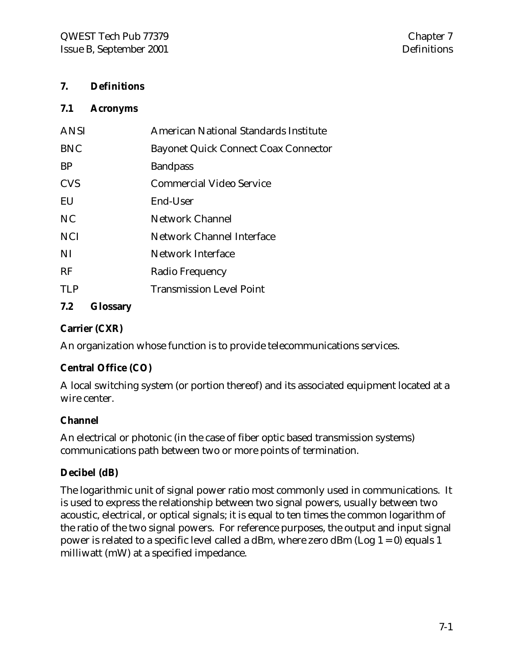### **7. Definitions**

### **7.1 Acronyms**

| <b>ANSI</b> | American National Standards Institute       |
|-------------|---------------------------------------------|
| <b>BNC</b>  | <b>Bayonet Quick Connect Coax Connector</b> |
| <b>BP</b>   | <b>Bandpass</b>                             |
| <b>CVS</b>  | <b>Commercial Video Service</b>             |
| EU          | End-User                                    |
| NC.         | <b>Network Channel</b>                      |
| <b>NCI</b>  | Network Channel Interface                   |
| NI          | Network Interface                           |
| RF          | Radio Frequency                             |
| TI P        | <b>Transmission Level Point</b>             |
|             |                                             |

# **7.2 Glossary**

### **Carrier (CXR)**

An organization whose function is to provide telecommunications services.

### **Central Office (CO)**

A local switching system (or portion thereof) and its associated equipment located at a wire center.

### **Channel**

An electrical or photonic (in the case of fiber optic based transmission systems) communications path between two or more points of termination.

### **Decibel (dB)**

The logarithmic unit of signal power ratio most commonly used in communications. It is used to express the relationship between two signal powers, usually between two acoustic, electrical, or optical signals; it is equal to ten times the common logarithm of the ratio of the two signal powers. For reference purposes, the output and input signal power is related to a specific level called a dBm, where zero dBm (Log  $1 = 0$ ) equals 1 milliwatt (mW) at a specified impedance.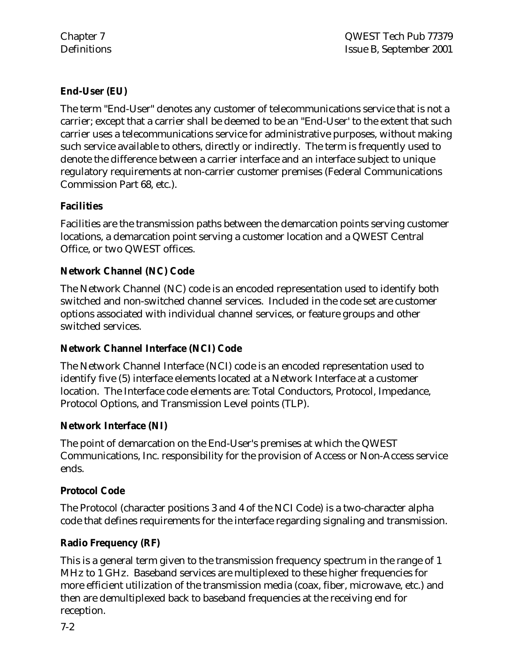### **End-User (EU)**

The term "End-User" denotes any customer of telecommunications service that is not a carrier; except that a carrier shall be deemed to be an "End-User' to the extent that such carrier uses a telecommunications service for administrative purposes, without making such service available to others, directly or indirectly. The term is frequently used to denote the difference between a carrier interface and an interface subject to unique regulatory requirements at non-carrier customer premises (Federal Communications Commission Part 68, etc.).

### **Facilities**

Facilities are the transmission paths between the demarcation points serving customer locations, a demarcation point serving a customer location and a QWEST Central Office, or two QWEST offices.

### **Network Channel (NC) Code**

The Network Channel (NC) code is an encoded representation used to identify both switched and non-switched channel services. Included in the code set are customer options associated with individual channel services, or feature groups and other switched services.

### **Network Channel Interface (NCI) Code**

The Network Channel Interface (NCI) code is an encoded representation used to identify five (5) interface elements located at a Network Interface at a customer location. The Interface code elements are: Total Conductors, Protocol, Impedance, Protocol Options, and Transmission Level points (TLP).

### **Network Interface (NI)**

The point of demarcation on the End-User's premises at which the QWEST Communications, Inc. responsibility for the provision of Access or Non-Access service ends.

### **Protocol Code**

The Protocol (character positions 3 and 4 of the NCI Code) is a two-character alpha code that defines requirements for the interface regarding signaling and transmission.

### **Radio Frequency (RF)**

This is a general term given to the transmission frequency spectrum in the range of 1 MHz to 1 GHz. Baseband services are multiplexed to these higher frequencies for more efficient utilization of the transmission media (coax, fiber, microwave, etc.) and then are demultiplexed back to baseband frequencies at the receiving end for reception.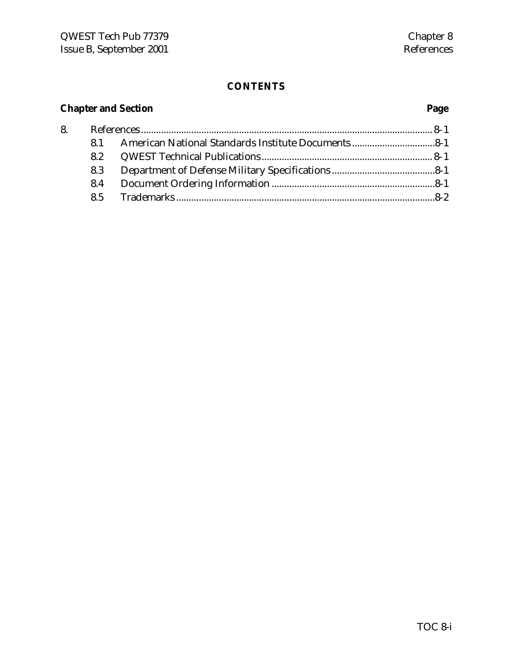# **Chapter and Section Page**

| 8. |     |  |
|----|-----|--|
|    | 81  |  |
|    | 8.2 |  |
|    | 8.3 |  |
|    | 8.4 |  |
|    |     |  |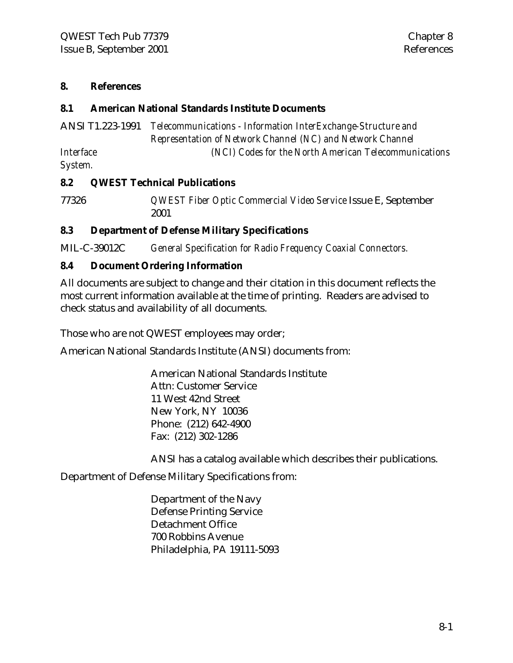### **8. References**

### **8.1 American National Standards Institute Documents**

| ANSI T1.223-1991 | Telecommunications - Information InterExchange-Structure and |
|------------------|--------------------------------------------------------------|
|                  | Representation of Network Channel (NC) and Network Channel   |
| <i>Interface</i> | (NCI) Codes for the North American Telecommunications        |
| System.          |                                                              |

### **8.2 QWEST Technical Publications**

77326 *QWEST Fiber Optic Commercial Video Service* Issue E, September 2001

### **8.3 Department of Defense Military Specifications**

MIL-C-39012C *General Specification for Radio Frequency Coaxial Connectors.*

### **8.4 Document Ordering Information**

All documents are subject to change and their citation in this document reflects the most current information available at the time of printing. Readers are advised to check status and availability of all documents.

Those who are not QWEST employees may order;

American National Standards Institute (ANSI) documents from:

American National Standards Institute Attn: Customer Service 11 West 42nd Street New York, NY 10036 Phone: (212) 642-4900 Fax: (212) 302-1286

ANSI has a catalog available which describes their publications.

Department of Defense Military Specifications from:

Department of the Navy Defense Printing Service Detachment Office 700 Robbins Avenue Philadelphia, PA 19111-5093